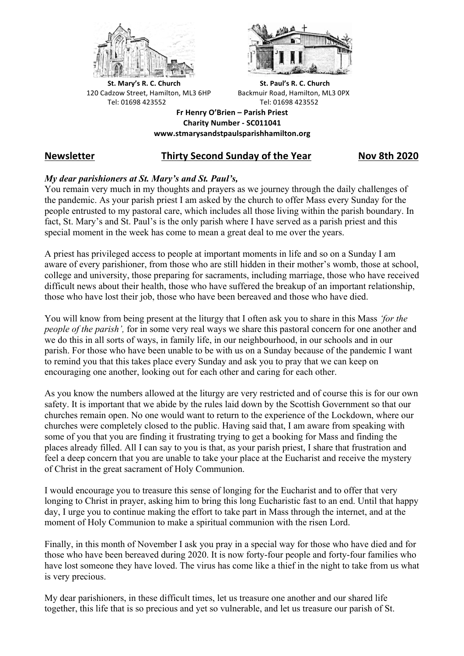



**St.** Mary's R. C. Church St. Paul's R. C. Church 120 Cadzow Street, Hamilton, ML3 6HP Backmuir Road, Hamilton, ML3 0PX Tel: 01698 423552 Tel: 01698 423552

**Fr Henry O'Brien – Parish Priest Charity Number - SC011041 www.stmarysandstpaulsparishhamilton.org**

# **Newsletter Thirty Second Sunday of the Year Nov 8th 2020**

## *My dear parishioners at St. Mary's and St. Paul's,*

You remain very much in my thoughts and prayers as we journey through the daily challenges of the pandemic. As your parish priest I am asked by the church to offer Mass every Sunday for the people entrusted to my pastoral care, which includes all those living within the parish boundary. In fact, St. Mary's and St. Paul's is the only parish where I have served as a parish priest and this special moment in the week has come to mean a great deal to me over the years.

A priest has privileged access to people at important moments in life and so on a Sunday I am aware of every parishioner, from those who are still hidden in their mother's womb, those at school, college and university, those preparing for sacraments, including marriage, those who have received difficult news about their health, those who have suffered the breakup of an important relationship, those who have lost their job, those who have been bereaved and those who have died.

You will know from being present at the liturgy that I often ask you to share in this Mass *'for the people of the parish',* for in some very real ways we share this pastoral concern for one another and we do this in all sorts of ways, in family life, in our neighbourhood, in our schools and in our parish. For those who have been unable to be with us on a Sunday because of the pandemic I want to remind you that this takes place every Sunday and ask you to pray that we can keep on encouraging one another, looking out for each other and caring for each other.

As you know the numbers allowed at the liturgy are very restricted and of course this is for our own safety. It is important that we abide by the rules laid down by the Scottish Government so that our churches remain open. No one would want to return to the experience of the Lockdown, where our churches were completely closed to the public. Having said that, I am aware from speaking with some of you that you are finding it frustrating trying to get a booking for Mass and finding the places already filled. All I can say to you is that, as your parish priest, I share that frustration and feel a deep concern that you are unable to take your place at the Eucharist and receive the mystery of Christ in the great sacrament of Holy Communion.

I would encourage you to treasure this sense of longing for the Eucharist and to offer that very longing to Christ in prayer, asking him to bring this long Eucharistic fast to an end. Until that happy day, I urge you to continue making the effort to take part in Mass through the internet, and at the moment of Holy Communion to make a spiritual communion with the risen Lord.

Finally, in this month of November I ask you pray in a special way for those who have died and for those who have been bereaved during 2020. It is now forty-four people and forty-four families who have lost someone they have loved. The virus has come like a thief in the night to take from us what is very precious.

My dear parishioners, in these difficult times, let us treasure one another and our shared life together, this life that is so precious and yet so vulnerable, and let us treasure our parish of St.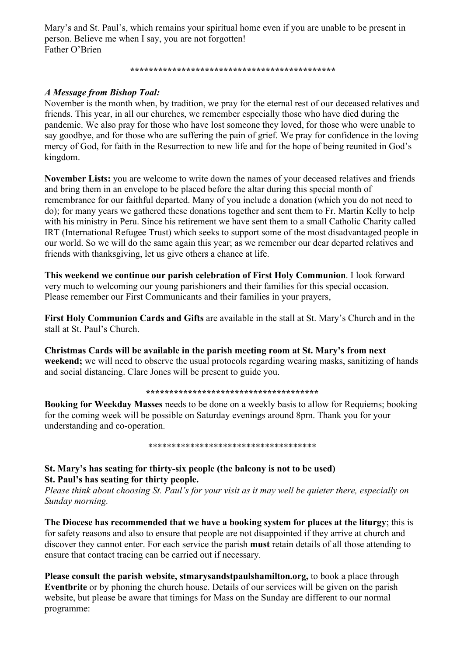Mary's and St. Paul's, which remains your spiritual home even if you are unable to be present in person. Believe me when I say, you are not forgotten! Father O'Brien

*\*\*\*\*\*\*\*\*\*\*\*\*\*\*\*\*\*\*\*\*\*\*\*\*\*\*\*\*\*\*\*\*\*\*\*\*\*\*\*\*\*\*\*\**

## *A Message from Bishop Toal:*

November is the month when, by tradition, we pray for the eternal rest of our deceased relatives and friends. This year, in all our churches, we remember especially those who have died during the pandemic. We also pray for those who have lost someone they loved, for those who were unable to say goodbye, and for those who are suffering the pain of grief. We pray for confidence in the loving mercy of God, for faith in the Resurrection to new life and for the hope of being reunited in God's kingdom.

**November Lists:** you are welcome to write down the names of your deceased relatives and friends and bring them in an envelope to be placed before the altar during this special month of remembrance for our faithful departed. Many of you include a donation (which you do not need to do); for many years we gathered these donations together and sent them to Fr. Martin Kelly to help with his ministry in Peru. Since his retirement we have sent them to a small Catholic Charity called IRT (International Refugee Trust) which seeks to support some of the most disadvantaged people in our world. So we will do the same again this year; as we remember our dear departed relatives and friends with thanksgiving, let us give others a chance at life.

**This weekend we continue our parish celebration of First Holy Communion**. I look forward very much to welcoming our young parishioners and their families for this special occasion. Please remember our First Communicants and their families in your prayers,

**First Holy Communion Cards and Gifts** are available in the stall at St. Mary's Church and in the stall at St. Paul's Church.

**Christmas Cards will be available in the parish meeting room at St. Mary's from next weekend;** we will need to observe the usual protocols regarding wearing masks, sanitizing of hands and social distancing. Clare Jones will be present to guide you.

#### **\*\*\*\*\*\*\*\*\*\*\*\*\*\*\*\*\*\*\*\*\*\*\*\*\*\*\*\*\*\*\*\*\*\*\*\*\***

**Booking for Weekday Masses** needs to be done on a weekly basis to allow for Requiems; booking for the coming week will be possible on Saturday evenings around 8pm. Thank you for your understanding and co-operation.

#### \*\*\*\*\*\*\*\*\*\*\*\*\*\*\*\*\*\*\*\*\*\*\*\*\*\*\*\*\*\*\*\*\*\*\*\*

### **St. Mary's has seating for thirty-six people (the balcony is not to be used) St. Paul's has seating for thirty people.**

*Please think about choosing St. Paul's for your visit as it may well be quieter there, especially on Sunday morning.*

**The Diocese has recommended that we have a booking system for places at the liturgy**; this is for safety reasons and also to ensure that people are not disappointed if they arrive at church and discover they cannot enter. For each service the parish **must** retain details of all those attending to ensure that contact tracing can be carried out if necessary.

**Please consult the parish website, stmarysandstpaulshamilton.org,** to book a place through **Eventbrite** or by phoning the church house. Details of our services will be given on the parish website, but please be aware that timings for Mass on the Sunday are different to our normal programme: